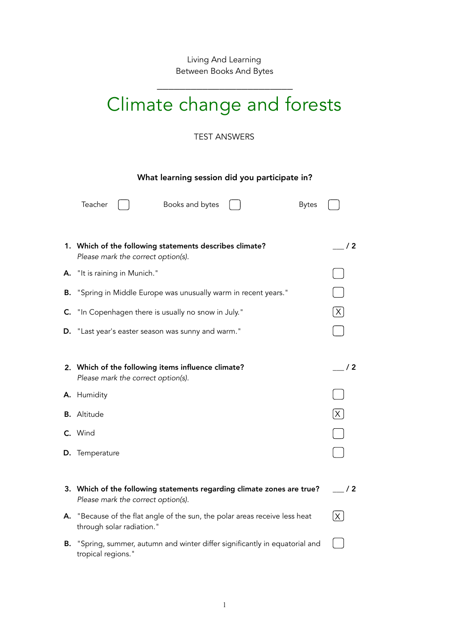Living And Learning Between Books And Bytes

\_\_\_\_\_\_\_\_\_\_\_\_\_\_\_\_\_\_\_\_\_\_\_\_

## Climate change and forests

TEST ANSWERS

## What learning session did you participate in?

|    | Teacher<br>Books and bytes<br><b>Bytes</b>                                                                   |              |
|----|--------------------------------------------------------------------------------------------------------------|--------------|
|    | 1. Which of the following statements describes climate?<br>Please mark the correct option(s).                | /2           |
| А. | "It is raining in Munich."                                                                                   |              |
| В. | "Spring in Middle Europe was unusually warm in recent years."                                                |              |
| C. | "In Copenhagen there is usually no snow in July."                                                            | $\mathsf X$  |
| D. | "Last year's easter season was sunny and warm."                                                              |              |
|    |                                                                                                              |              |
|    | 2. Which of the following items influence climate?<br>Please mark the correct option(s).                     | / 2          |
|    | A. Humidity                                                                                                  |              |
|    | <b>B.</b> Altitude                                                                                           | $\mathsf{X}$ |
|    | C. Wind                                                                                                      |              |
| D. | Temperature                                                                                                  |              |
|    |                                                                                                              |              |
|    | 3. Which of the following statements regarding climate zones are true?<br>Please mark the correct option(s). | /2           |
| А. | "Because of the flat angle of the sun, the polar areas receive less heat<br>through solar radiation."        | $\mathsf{X}$ |
| В. | "Spring, summer, autumn and winter differ significantly in equatorial and<br>tropical regions."              |              |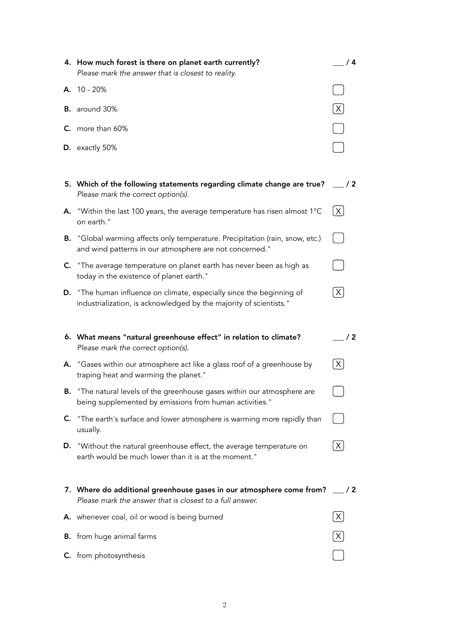|    | 4. How much forest is there on planet earth currently?<br>Please mark the answer that is closest to reality.                                    | /4                     |
|----|-------------------------------------------------------------------------------------------------------------------------------------------------|------------------------|
|    | A. 10 - 20%                                                                                                                                     |                        |
|    | <b>B.</b> around 30%                                                                                                                            | $\lfloor x \rfloor$    |
|    | C. more than 60%                                                                                                                                |                        |
|    | D. exactly 50%                                                                                                                                  |                        |
|    |                                                                                                                                                 |                        |
|    | 5. Which of the following statements regarding climate change are true?<br>Please mark the correct option(s).                                   | $\frac{1}{2}$          |
|    | A. "Within the last 100 years, the average temperature has risen almost $1^{\circ}$ C<br>on earth."                                             | $\lfloor \chi \rfloor$ |
|    | <b>B.</b> "Global warming affects only temperature. Precipitation (rain, snow, etc.)<br>and wind patterns in our atmosphere are not concerned." |                        |
|    | C. "The average temperature on planet earth has never been as high as<br>today in the existence of planet earth."                               |                        |
|    | D. "The human influence on climate, especially since the beginning of<br>industrialization, is acknowledged by the majority of scientists."     | $\lfloor x \rfloor$    |
|    |                                                                                                                                                 |                        |
|    |                                                                                                                                                 |                        |
|    | 6. What means "natural greenhouse effect" in relation to climate?<br>Please mark the correct option(s).                                         | /2                     |
|    | A. "Gases within our atmosphere act like a glass roof of a greenhouse by<br>traping heat and warming the planet."                               | $\mathsf{X}$           |
| В. | "The natural levels of the greenhouse gases within our atmosphere are<br>being supplemented by emissions from human activities."                |                        |
| C. | "The earth's surface and lower atmosphere is warming more rapidly than<br>usually.                                                              |                        |
| D. | "Without the natural greenhouse effect, the average temperature on<br>earth would be much lower than it is at the moment."                      | X                      |
|    | 7. Where do additional greenhouse gases in our atmosphere come from?<br>Please mark the answer that is closest to a full answer.                | $\frac{1}{2}$          |
|    | A. whenever coal, oil or wood is being burned                                                                                                   | X                      |
|    | <b>B.</b> from huge animal farms                                                                                                                | $\times$               |